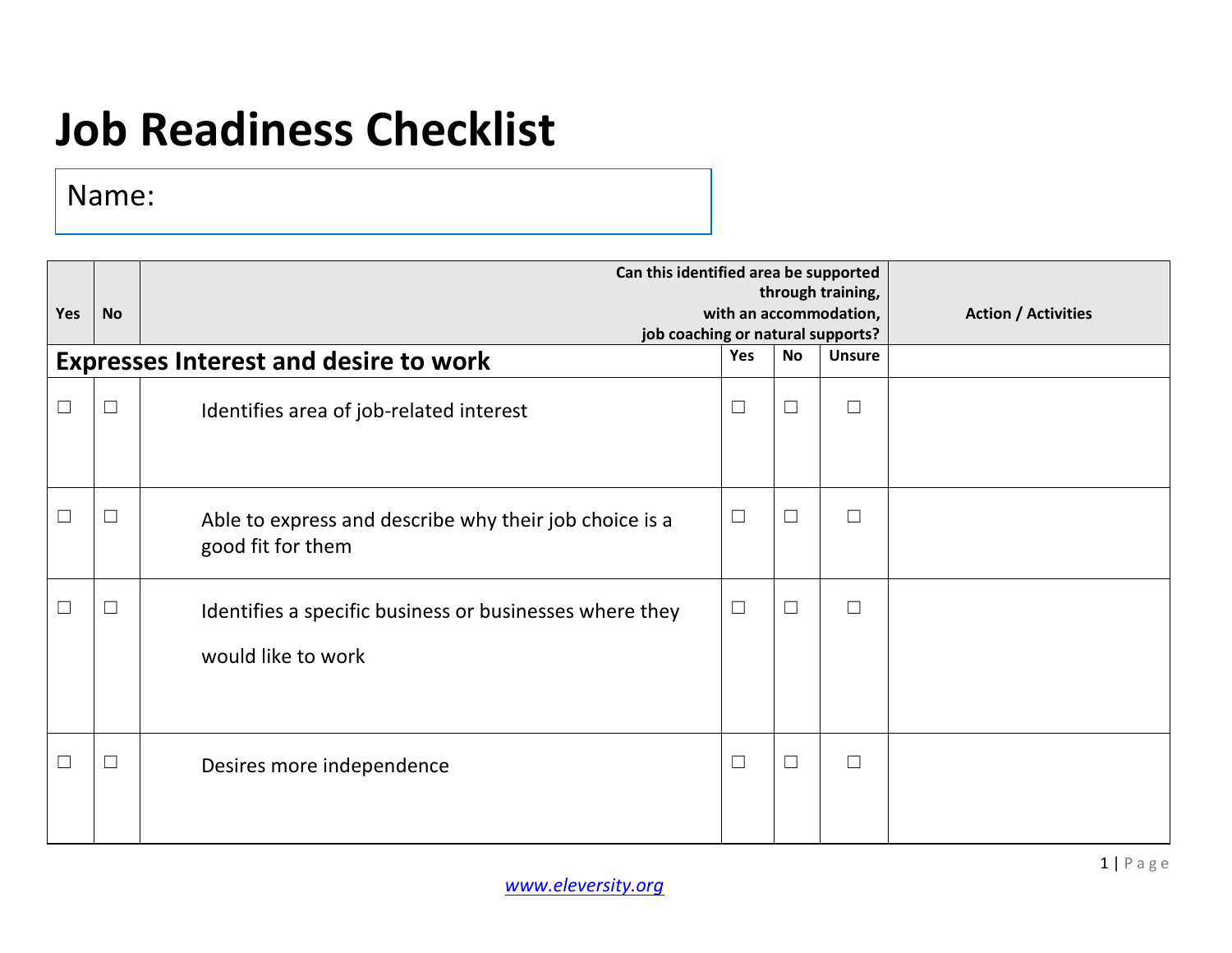## **Job Readiness Checklist**

Name:

| Yes | <b>No</b> | Can this identified area be supported<br>with an accommodation,<br>job coaching or natural supports? | <b>Action / Activities</b> |           |               |  |
|-----|-----------|------------------------------------------------------------------------------------------------------|----------------------------|-----------|---------------|--|
|     |           | <b>Expresses Interest and desire to work</b>                                                         | Yes                        | <b>No</b> | <b>Unsure</b> |  |
| П   | $\Box$    | Identifies area of job-related interest                                                              | $\Box$                     | $\Box$    | $\Box$        |  |
| L   | $\Box$    | Able to express and describe why their job choice is a<br>good fit for them                          | $\Box$                     | $\Box$    | $\Box$        |  |
|     | $\Box$    | Identifies a specific business or businesses where they<br>would like to work                        | $\Box$                     | $\Box$    | $\Box$        |  |
|     | $\Box$    | Desires more independence                                                                            | $\Box$                     | $\Box$    | $\Box$        |  |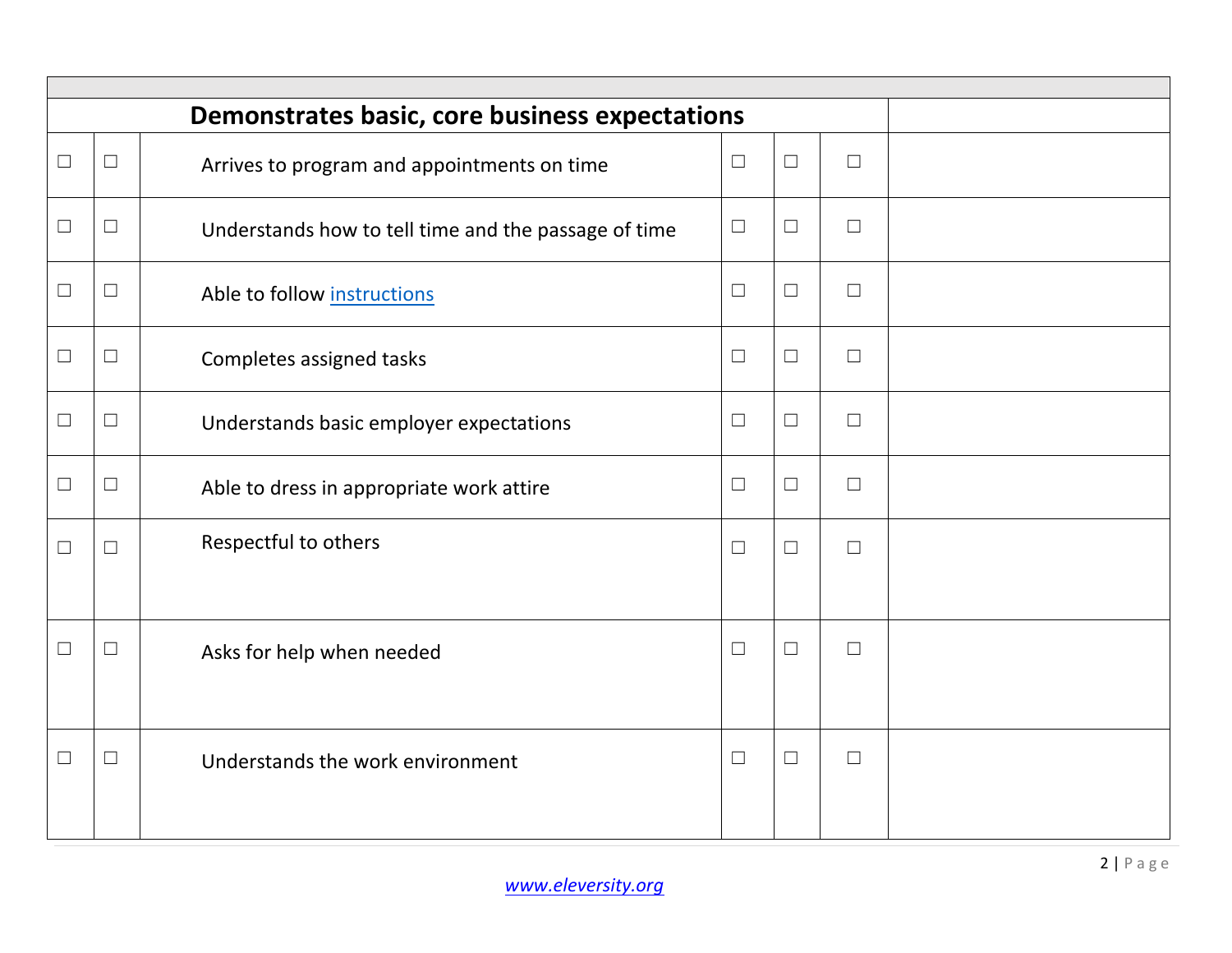|        | Demonstrates basic, core business expectations |                                                      |        |        |        |  |  |  |
|--------|------------------------------------------------|------------------------------------------------------|--------|--------|--------|--|--|--|
| $\Box$ | $\Box$                                         | Arrives to program and appointments on time          | $\Box$ | $\Box$ | $\Box$ |  |  |  |
| $\Box$ | $\Box$                                         | Understands how to tell time and the passage of time | $\Box$ | $\Box$ | $\Box$ |  |  |  |
| $\Box$ | $\Box$                                         | Able to follow instructions                          | $\Box$ | $\Box$ | $\Box$ |  |  |  |
| $\Box$ | $\Box$                                         | Completes assigned tasks                             | $\Box$ | $\Box$ | $\Box$ |  |  |  |
| $\Box$ | $\Box$                                         | Understands basic employer expectations              | $\Box$ | $\Box$ | $\Box$ |  |  |  |
| $\Box$ | $\Box$                                         | Able to dress in appropriate work attire             | $\Box$ | $\Box$ | $\Box$ |  |  |  |
| $\Box$ | $\Box$                                         | Respectful to others                                 | $\Box$ | $\Box$ | $\Box$ |  |  |  |
| $\Box$ | $\Box$                                         | Asks for help when needed                            | $\Box$ | $\Box$ | $\Box$ |  |  |  |
| $\Box$ | $\Box$                                         | Understands the work environment                     | $\Box$ | $\Box$ | $\Box$ |  |  |  |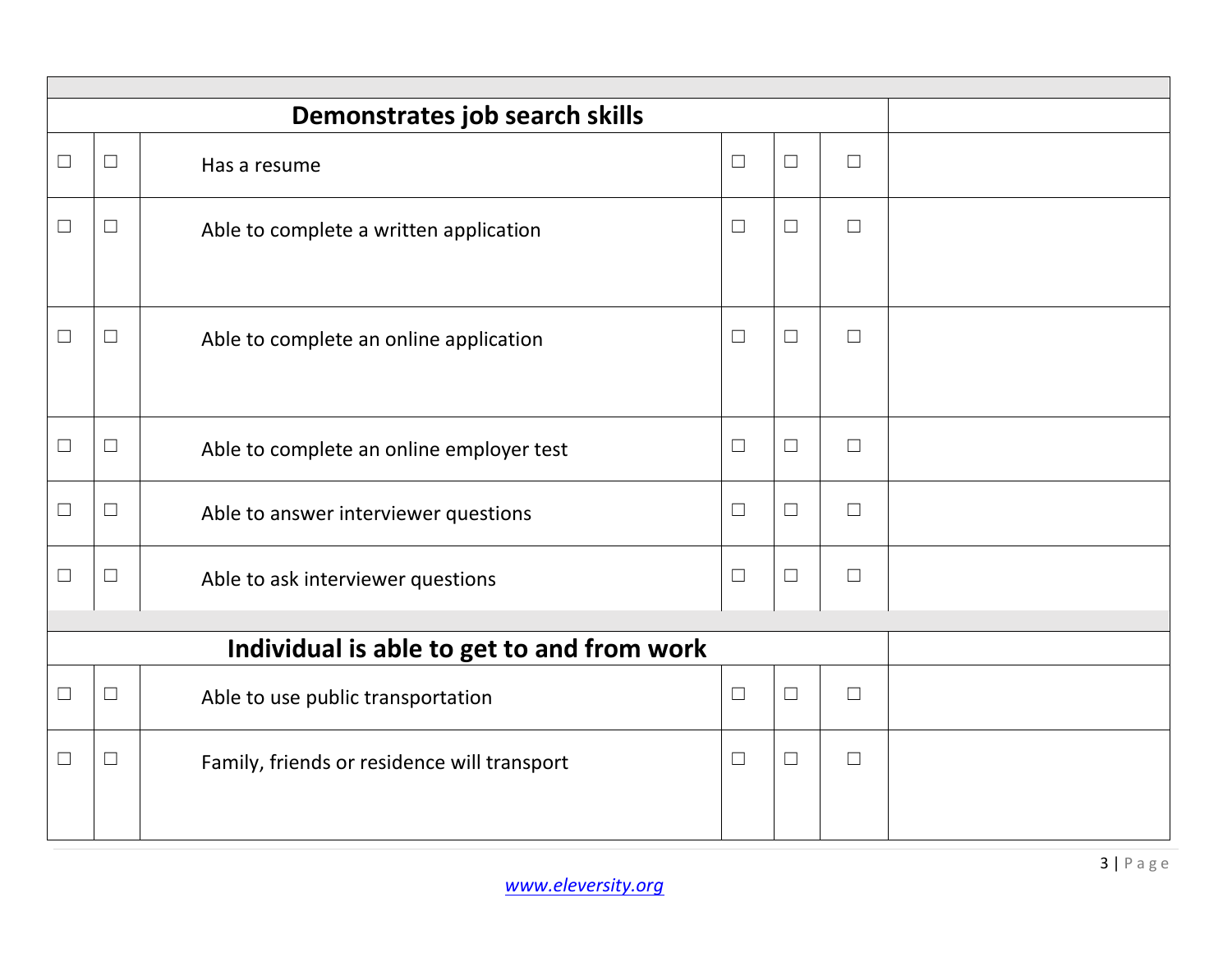|        | Demonstrates job search skills             |                                             |        |        |        |  |  |  |  |
|--------|--------------------------------------------|---------------------------------------------|--------|--------|--------|--|--|--|--|
| $\Box$ | $\Box$                                     | Has a resume                                | $\Box$ | $\Box$ | $\Box$ |  |  |  |  |
| $\Box$ | $\Box$                                     | Able to complete a written application      | $\Box$ | $\Box$ | $\Box$ |  |  |  |  |
| $\Box$ | $\Box$                                     | Able to complete an online application      | $\Box$ | $\Box$ | $\Box$ |  |  |  |  |
| $\Box$ | $\Box$                                     | Able to complete an online employer test    | $\Box$ | $\Box$ | $\Box$ |  |  |  |  |
| $\Box$ | $\Box$                                     | Able to answer interviewer questions        | $\Box$ | $\Box$ | $\Box$ |  |  |  |  |
| $\Box$ | $\Box$                                     | Able to ask interviewer questions           | $\Box$ | $\Box$ | $\Box$ |  |  |  |  |
|        |                                            |                                             |        |        |        |  |  |  |  |
|        | Individual is able to get to and from work |                                             |        |        |        |  |  |  |  |
| П      | $\Box$                                     | Able to use public transportation           | $\Box$ | $\Box$ | $\Box$ |  |  |  |  |
| $\Box$ | $\Box$                                     | Family, friends or residence will transport | $\Box$ | $\Box$ | $\Box$ |  |  |  |  |